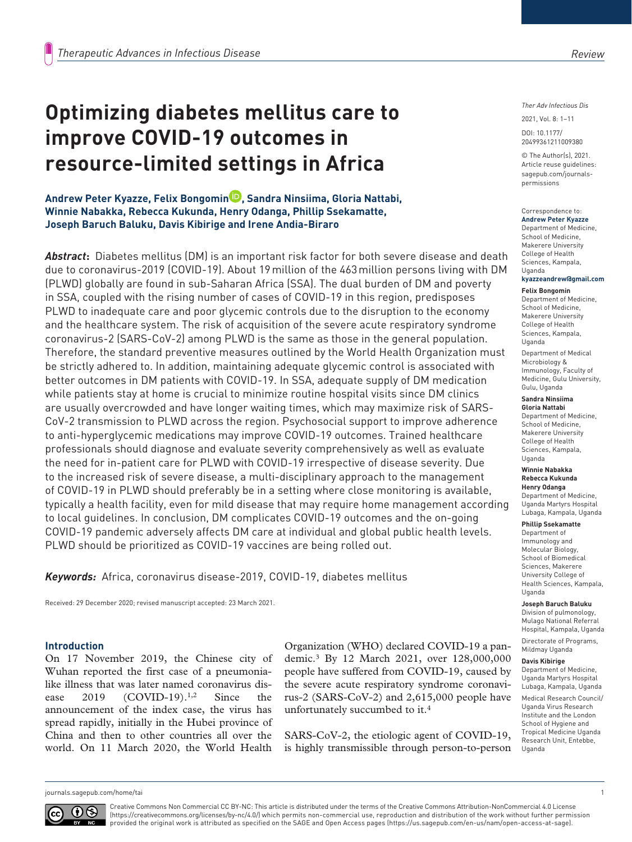# **Optimizing diabetes mellitus care to improve COVID-19 outcomes in resource-limited settings in Africa**

**Andrew Peter Kyazze, Felix Bongomin , Sandra Ninsiima, Gloria Nattabi, Winnie Nabakka, Rebecca Kukunda, Henry Odanga, Phillip Ssekamatte, Joseph Baruch Baluku, Davis Kibirige and Irene Andia-Biraro**

*Abstract***:** Diabetes mellitus (DM) is an important risk factor for both severe disease and death due to coronavirus-2019 (COVID-19). About 19million of the 463million persons living with DM (PLWD) globally are found in sub-Saharan Africa (SSA). The dual burden of DM and poverty in SSA, coupled with the rising number of cases of COVID-19 in this region, predisposes PLWD to inadequate care and poor glycemic controls due to the disruption to the economy and the healthcare system. The risk of acquisition of the severe acute respiratory syndrome coronavirus-2 (SARS-CoV-2) among PLWD is the same as those in the general population. Therefore, the standard preventive measures outlined by the World Health Organization must be strictly adhered to. In addition, maintaining adequate glycemic control is associated with better outcomes in DM patients with COVID-19. In SSA, adequate supply of DM medication while patients stay at home is crucial to minimize routine hospital visits since DM clinics are usually overcrowded and have longer waiting times, which may maximize risk of SARS-CoV-2 transmission to PLWD across the region. Psychosocial support to improve adherence to anti-hyperglycemic medications may improve COVID-19 outcomes. Trained healthcare professionals should diagnose and evaluate severity comprehensively as well as evaluate the need for in-patient care for PLWD with COVID-19 irrespective of disease severity. Due to the increased risk of severe disease, a multi-disciplinary approach to the management of COVID-19 in PLWD should preferably be in a setting where close monitoring is available, typically a health facility, even for mild disease that may require home management according to local guidelines. In conclusion, DM complicates COVID-19 outcomes and the on-going COVID-19 pandemic adversely affects DM care at individual and global public health levels. PLWD should be prioritized as COVID-19 vaccines are being rolled out.

*Keywords:* Africa, coronavirus disease-2019, COVID-19, diabetes mellitus

Received: 29 December 2020; revised manuscript accepted: 23 March 2021.

### **Introduction**

On 17 November 2019, the Chinese city of Wuhan reported the first case of a pneumonialike illness that was later named coronavirus disease 2019 (COVID-19).<sup>1,2</sup> Since the announcement of the index case, the virus has spread rapidly, initially in the Hubei province of China and then to other countries all over the world. On 11 March 2020, the World Health Organization (WHO) declared COVID-19 a pandemic.3 By 12 March 2021, over 128,000,000 people have suffered from COVID-19, caused by the severe acute respiratory syndrome coronavirus-2 (SARS-CoV-2) and 2,615,000 people have unfortunately succumbed to it.4

SARS-CoV-2, the etiologic agent of COVID-19, is highly transmissible through person-to-person *Ther Adv Infectious Dis*

DOI: 10.1177/ 2021, Vol. 8: 1–11

© The Author(s), 2021. Article reuse guidelines: [sagepub.com/journals](https://uk.sagepub.com/en-gb/journals-permissions)[permissions](https://uk.sagepub.com/en-gb/journals-permissions)

20499361211009380

#### Correspondence to: **Andrew Peter Kyazze**

Department of Medicine, School of Medicine, Makerere University College of Health Sciences, Kampala, Uganda

# **[kyazzeandrew@gmail.com](mailto:kyazzeandrew@gmail.com)**

**Felix Bongomin** Department of Medicine, School of Medicine, Makerere University College of Health Sciences, Kampala, Uganda

Department of Medical Microbiology & Immunology, Faculty of Medicine, Gulu University, Gulu, Uganda

#### **Sandra Ninsiima Gloria Nattabi**

Department of Medicine, School of Medicine, Makerere University College of Health Sciences, Kampala, Uganda

#### **Winnie Nabakka Rebecca Kukunda Henry Odanga**

Department of Medicine, Uganda Martyrs Hospital Lubaga, Kampala, Uganda

### **Phillip Ssekamatte**

Department of Immunology and Molecular Biology, School of Biomedical Sciences, Makerere University College of Health Sciences, Kampala, Uganda

#### **Joseph Baruch Baluku**

Division of pulmonology, Mulago National Referral Hospital, Kampala, Uganda Directorate of Programs,

### Mildmay Uganda

**Davis Kibirige** Department of Medicine, Uganda Martyrs Hospital Lubaga, Kampala, Uganda Medical Research Council/ Uganda Virus Research Institute and the London School of Hygiene and Tropical Medicine Uganda Research Unit, Entebbe, Uganda

[journals.sagepub.com/home/tai](https://journals.sagepub.com/home/tai) 1



Creative Commons Non Commercial CC BY-NC: This article is distributed under the terms of the Creative Commons Attribution-NonCommercial 4.0 License (https://creativecommons.org/licenses/by-nc/4.0/) which permits non-commercial use, reproduction and distribution of the work without further permission provided the original work is attributed as specified on the SAGE and Open Access pages (https://us.sagepub.com/en-us/nam/open-access-at-sage).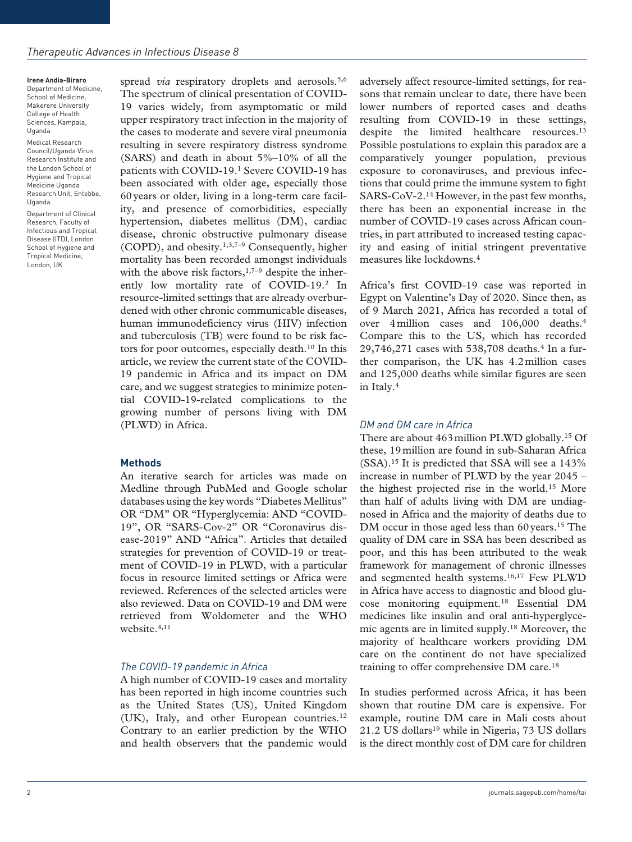**Irene Andia-Biraro** Department of Medicine, School of Medicine, Makerere University College of Health Sciences, Kampala, Uganda

Medical Research Council/Uganda Virus Research Institute and the London School of Hygiene and Tropical Medicine Uganda Research Unit, Entebbe, Uganda

Department of Clinical Research, Faculty of Infectious and Tropical Disease (ITD), London School of Hygiene and Tropical Medicine, London, UK

spread *via* respiratory droplets and aerosols.<sup>5,6</sup> The spectrum of clinical presentation of COVID-19 varies widely, from asymptomatic or mild upper respiratory tract infection in the majority of the cases to moderate and severe viral pneumonia resulting in severe respiratory distress syndrome (SARS) and death in about  $5\%-10\%$  of all the patients with COVID-19.1 Severe COVID-19 has been associated with older age, especially those 60years or older, living in a long-term care facility, and presence of comorbidities, especially hypertension, diabetes mellitus (DM), cardiac disease, chronic obstructive pulmonary disease (COPD), and obesity.1,3,7–9 Consequently, higher mortality has been recorded amongst individuals with the above risk factors, $1,7-9$  despite the inherently low mortality rate of COVID-19.<sup>2</sup> In resource-limited settings that are already overburdened with other chronic communicable diseases, human immunodeficiency virus (HIV) infection and tuberculosis (TB) were found to be risk factors for poor outcomes, especially death.10 In this article, we review the current state of the COVID-19 pandemic in Africa and its impact on DM care, and we suggest strategies to minimize potential COVID-19-related complications to the growing number of persons living with DM (PLWD) in Africa.

### **Methods**

An iterative search for articles was made on Medline through PubMed and Google scholar databases using the key words "Diabetes Mellitus" OR "DM" OR "Hyperglycemia: AND "COVID-19", OR "SARS-Cov-2" OR "Coronavirus disease-2019" AND "Africa". Articles that detailed strategies for prevention of COVID-19 or treatment of COVID-19 in PLWD, with a particular focus in resource limited settings or Africa were reviewed. References of the selected articles were also reviewed. Data on COVID-19 and DM were retrieved from Woldometer and the WHO website.4,11

#### *The COVID-19 pandemic in Africa*

A high number of COVID-19 cases and mortality has been reported in high income countries such as the United States (US), United Kingdom (UK), Italy, and other European countries.12 Contrary to an earlier prediction by the WHO and health observers that the pandemic would adversely affect resource-limited settings, for reasons that remain unclear to date, there have been lower numbers of reported cases and deaths resulting from COVID-19 in these settings, despite the limited healthcare resources.<sup>13</sup> Possible postulations to explain this paradox are a comparatively younger population, previous exposure to coronaviruses, and previous infections that could prime the immune system to fight SARS-CoV-2.14 However, in the past few months, there has been an exponential increase in the number of COVID-19 cases across African countries, in part attributed to increased testing capacity and easing of initial stringent preventative measures like lockdowns.4

Africa's first COVID-19 case was reported in Egypt on Valentine's Day of 2020. Since then, as of 9 March 2021, Africa has recorded a total of over 4million cases and 106,000 deaths.4 Compare this to the US, which has recorded 29,746,271 cases with 538,708 deaths.4 In a further comparison, the UK has 4.2million cases and 125,000 deaths while similar figures are seen in Italy.4

### *DM and DM care in Africa*

There are about 463million PLWD globally.15 Of these, 19million are found in sub-Saharan Africa (SSA).15 It is predicted that SSA will see a 143% increase in number of PLWD by the year 2045 – the highest projected rise in the world.15 More than half of adults living with DM are undiagnosed in Africa and the majority of deaths due to DM occur in those aged less than 60 years.<sup>15</sup> The quality of DM care in SSA has been described as poor, and this has been attributed to the weak framework for management of chronic illnesses and segmented health systems.16,17 Few PLWD in Africa have access to diagnostic and blood glucose monitoring equipment.18 Essential DM medicines like insulin and oral anti-hyperglycemic agents are in limited supply.18 Moreover, the majority of healthcare workers providing DM care on the continent do not have specialized training to offer comprehensive DM care.18

In studies performed across Africa, it has been shown that routine DM care is expensive. For example, routine DM care in Mali costs about 21.2 US dollars<sup>19</sup> while in Nigeria, 73 US dollars is the direct monthly cost of DM care for children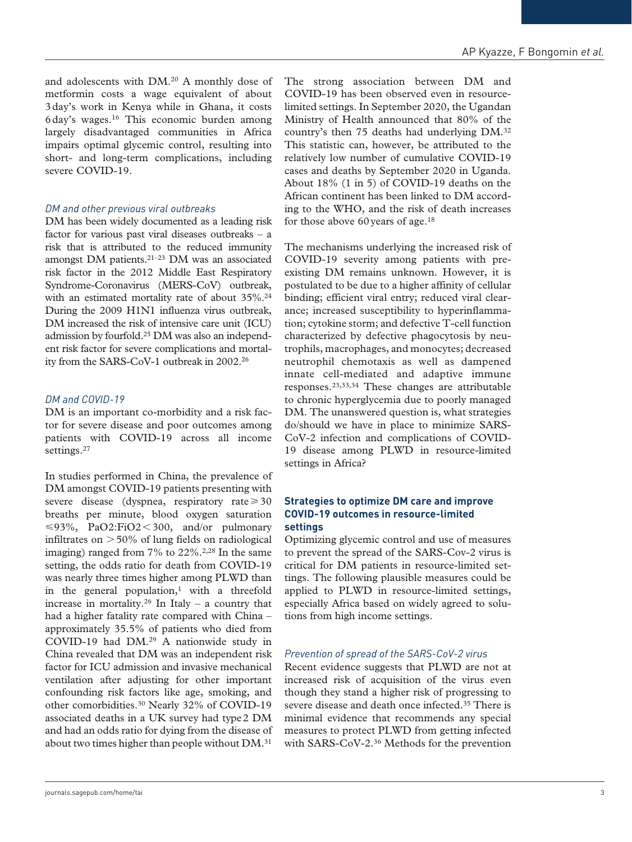and adolescents with DM.20 A monthly dose of metformin costs a wage equivalent of about 3day's work in Kenya while in Ghana, it costs 6day's wages.16 This economic burden among largely disadvantaged communities in Africa impairs optimal glycemic control, resulting into short- and long-term complications, including severe COVID-19.

## *DM and other previous viral outbreaks*

DM has been widely documented as a leading risk factor for various past viral diseases outbreaks – a risk that is attributed to the reduced immunity amongst DM patients.21–23 DM was an associated risk factor in the 2012 Middle East Respiratory Syndrome-Coronavirus (MERS-CoV) outbreak, with an estimated mortality rate of about 35%.24 During the 2009 H1N1 influenza virus outbreak, DM increased the risk of intensive care unit (ICU) admission by fourfold.25 DM was also an independent risk factor for severe complications and mortality from the SARS-CoV-1 outbreak in 2002.26

# *DM and COVID-19*

DM is an important co-morbidity and a risk factor for severe disease and poor outcomes among patients with COVID-19 across all income settings.<sup>27</sup>

In studies performed in China, the prevalence of DM amongst COVID-19 patients presenting with severe disease (dyspnea, respiratory rate $\geq 30$ breaths per minute, blood oxygen saturation  $\leq 93\%$ , PaO2:FiO2 < 300, and/or pulmonary infiltrates on  $>50\%$  of lung fields on radiological imaging) ranged from  $7\%$  to  $22\%$ .<sup>2,28</sup> In the same setting, the odds ratio for death from COVID-19 was nearly three times higher among PLWD than in the general population, $<sup>1</sup>$  with a threefold</sup> increase in mortality.<sup>26</sup> In Italy – a country that had a higher fatality rate compared with China – approximately 35.5% of patients who died from COVID-19 had DM.29 A nationwide study in China revealed that DM was an independent risk factor for ICU admission and invasive mechanical ventilation after adjusting for other important confounding risk factors like age, smoking, and other comorbidities.30 Nearly 32% of COVID-19 associated deaths in a UK survey had type2 DM and had an odds ratio for dying from the disease of about two times higher than people without DM.31

The strong association between DM and COVID-19 has been observed even in resourcelimited settings. In September 2020, the Ugandan Ministry of Health announced that 80% of the country's then 75 deaths had underlying DM.32 This statistic can, however, be attributed to the relatively low number of cumulative COVID-19 cases and deaths by September 2020 in Uganda. About 18% (1 in 5) of COVID-19 deaths on the African continent has been linked to DM according to the WHO, and the risk of death increases for those above 60 years of age. $18$ 

The mechanisms underlying the increased risk of COVID-19 severity among patients with preexisting DM remains unknown. However, it is postulated to be due to a higher affinity of cellular binding; efficient viral entry; reduced viral clearance; increased susceptibility to hyperinflammation; cytokine storm; and defective T-cell function characterized by defective phagocytosis by neutrophils, macrophages, and monocytes; decreased neutrophil chemotaxis as well as dampened innate cell-mediated and adaptive immune responses.23,33,34 These changes are attributable to chronic hyperglycemia due to poorly managed DM. The unanswered question is, what strategies do/should we have in place to minimize SARS-CoV-2 infection and complications of COVID-19 disease among PLWD in resource-limited settings in Africa?

### **Strategies to optimize DM care and improve COVID-19 outcomes in resource-limited settings**

Optimizing glycemic control and use of measures to prevent the spread of the SARS-Cov-2 virus is critical for DM patients in resource-limited settings. The following plausible measures could be applied to PLWD in resource-limited settings, especially Africa based on widely agreed to solutions from high income settings.

### *Prevention of spread of the SARS-CoV-2 virus*

Recent evidence suggests that PLWD are not at increased risk of acquisition of the virus even though they stand a higher risk of progressing to severe disease and death once infected.<sup>35</sup> There is minimal evidence that recommends any special measures to protect PLWD from getting infected with SARS-CoV-2.<sup>36</sup> Methods for the prevention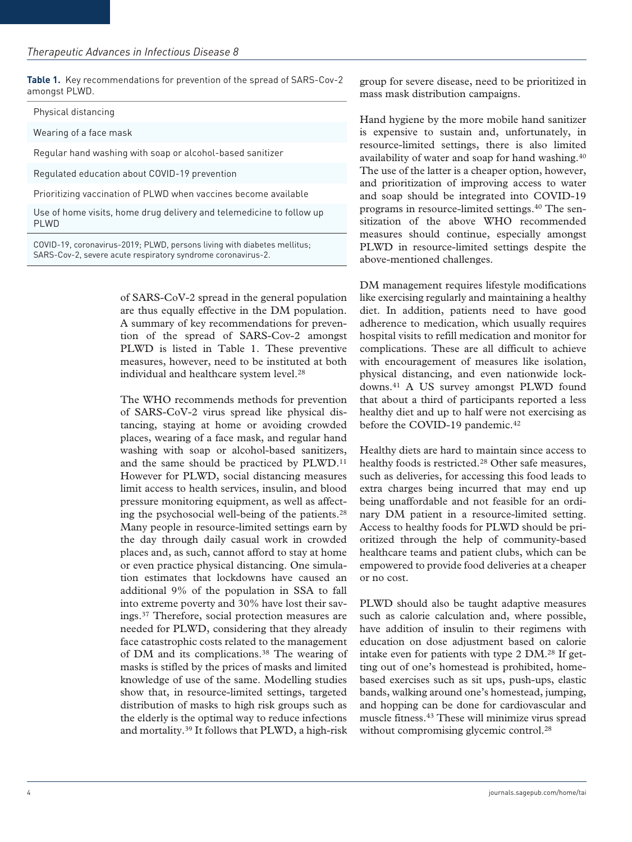**Table 1.** Key recommendations for prevention of the spread of SARS-Cov-2 amongst PLWD.

Physical distancing

Wearing of a face mask

Regular hand washing with soap or alcohol-based sanitizer

Regulated education about COVID-19 prevention

Prioritizing vaccination of PLWD when vaccines become available

Use of home visits, home drug delivery and telemedicine to follow up PI WD

COVID-19, coronavirus-2019; PLWD, persons living with diabetes mellitus; SARS-Cov-2, severe acute respiratory syndrome coronavirus-2.

> of SARS-CoV-2 spread in the general population are thus equally effective in the DM population. A summary of key recommendations for prevention of the spread of SARS-Cov-2 amongst PLWD is listed in Table 1. These preventive measures, however, need to be instituted at both individual and healthcare system level.<sup>28</sup>

> The WHO recommends methods for prevention of SARS-CoV-2 virus spread like physical distancing, staying at home or avoiding crowded places, wearing of a face mask, and regular hand washing with soap or alcohol-based sanitizers, and the same should be practiced by PLWD.<sup>11</sup> However for PLWD, social distancing measures limit access to health services, insulin, and blood pressure monitoring equipment, as well as affecting the psychosocial well-being of the patients.28 Many people in resource-limited settings earn by the day through daily casual work in crowded places and, as such, cannot afford to stay at home or even practice physical distancing. One simulation estimates that lockdowns have caused an additional 9% of the population in SSA to fall into extreme poverty and 30% have lost their savings.37 Therefore, social protection measures are needed for PLWD, considering that they already face catastrophic costs related to the management of DM and its complications.38 The wearing of masks is stifled by the prices of masks and limited knowledge of use of the same. Modelling studies show that, in resource-limited settings, targeted distribution of masks to high risk groups such as the elderly is the optimal way to reduce infections and mortality.39 It follows that PLWD, a high-risk

group for severe disease, need to be prioritized in mass mask distribution campaigns.

Hand hygiene by the more mobile hand sanitizer is expensive to sustain and, unfortunately, in resource-limited settings, there is also limited availability of water and soap for hand washing.40 The use of the latter is a cheaper option, however, and prioritization of improving access to water and soap should be integrated into COVID-19 programs in resource-limited settings.40 The sensitization of the above WHO recommended measures should continue, especially amongst PLWD in resource-limited settings despite the above-mentioned challenges.

DM management requires lifestyle modifications like exercising regularly and maintaining a healthy diet. In addition, patients need to have good adherence to medication, which usually requires hospital visits to refill medication and monitor for complications. These are all difficult to achieve with encouragement of measures like isolation, physical distancing, and even nationwide lockdowns.41 A US survey amongst PLWD found that about a third of participants reported a less healthy diet and up to half were not exercising as before the COVID-19 pandemic.<sup>42</sup>

Healthy diets are hard to maintain since access to healthy foods is restricted.<sup>28</sup> Other safe measures, such as deliveries, for accessing this food leads to extra charges being incurred that may end up being unaffordable and not feasible for an ordinary DM patient in a resource-limited setting. Access to healthy foods for PLWD should be prioritized through the help of community-based healthcare teams and patient clubs, which can be empowered to provide food deliveries at a cheaper or no cost.

PLWD should also be taught adaptive measures such as calorie calculation and, where possible, have addition of insulin to their regimens with education on dose adjustment based on calorie intake even for patients with type 2 DM.28 If getting out of one's homestead is prohibited, homebased exercises such as sit ups, push-ups, elastic bands, walking around one's homestead, jumping, and hopping can be done for cardiovascular and muscle fitness.43 These will minimize virus spread without compromising glycemic control.<sup>28</sup>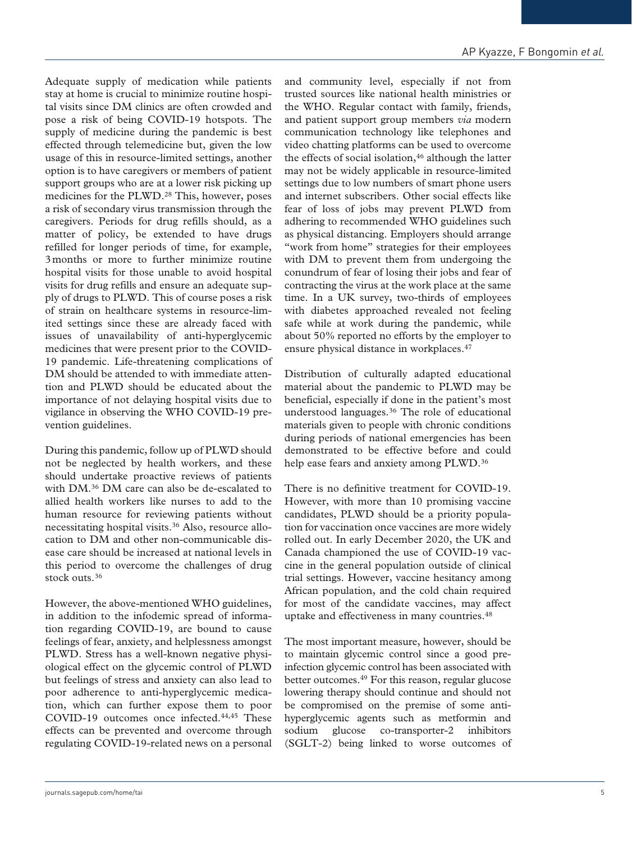Adequate supply of medication while patients stay at home is crucial to minimize routine hospital visits since DM clinics are often crowded and pose a risk of being COVID-19 hotspots. The supply of medicine during the pandemic is best effected through telemedicine but, given the low usage of this in resource-limited settings, another option is to have caregivers or members of patient support groups who are at a lower risk picking up medicines for the PLWD.28 This, however, poses a risk of secondary virus transmission through the caregivers. Periods for drug refills should, as a matter of policy, be extended to have drugs refilled for longer periods of time, for example, 3months or more to further minimize routine hospital visits for those unable to avoid hospital visits for drug refills and ensure an adequate supply of drugs to PLWD. This of course poses a risk of strain on healthcare systems in resource-limited settings since these are already faced with issues of unavailability of anti-hyperglycemic medicines that were present prior to the COVID-19 pandemic. Life-threatening complications of DM should be attended to with immediate attention and PLWD should be educated about the importance of not delaying hospital visits due to vigilance in observing the WHO COVID-19 prevention guidelines.

During this pandemic, follow up of PLWD should not be neglected by health workers, and these should undertake proactive reviews of patients with DM.36 DM care can also be de-escalated to allied health workers like nurses to add to the human resource for reviewing patients without necessitating hospital visits.36 Also, resource allocation to DM and other non-communicable disease care should be increased at national levels in this period to overcome the challenges of drug stock outs.<sup>36</sup>

However, the above-mentioned WHO guidelines, in addition to the infodemic spread of information regarding COVID-19, are bound to cause feelings of fear, anxiety, and helplessness amongst PLWD. Stress has a well-known negative physiological effect on the glycemic control of PLWD but feelings of stress and anxiety can also lead to poor adherence to anti-hyperglycemic medication, which can further expose them to poor COVID-19 outcomes once infected.44,45 These effects can be prevented and overcome through regulating COVID-19-related news on a personal

and community level, especially if not from trusted sources like national health ministries or the WHO. Regular contact with family, friends, and patient support group members *via* modern communication technology like telephones and video chatting platforms can be used to overcome the effects of social isolation, $46$  although the latter may not be widely applicable in resource-limited settings due to low numbers of smart phone users and internet subscribers. Other social effects like fear of loss of jobs may prevent PLWD from adhering to recommended WHO guidelines such as physical distancing. Employers should arrange "work from home" strategies for their employees with DM to prevent them from undergoing the conundrum of fear of losing their jobs and fear of contracting the virus at the work place at the same time. In a UK survey, two-thirds of employees with diabetes approached revealed not feeling safe while at work during the pandemic, while about 50% reported no efforts by the employer to ensure physical distance in workplaces.<sup>47</sup>

Distribution of culturally adapted educational material about the pandemic to PLWD may be beneficial, especially if done in the patient's most understood languages.36 The role of educational materials given to people with chronic conditions during periods of national emergencies has been demonstrated to be effective before and could help ease fears and anxiety among PLWD.<sup>36</sup>

There is no definitive treatment for COVID-19. However, with more than 10 promising vaccine candidates, PLWD should be a priority population for vaccination once vaccines are more widely rolled out. In early December 2020, the UK and Canada championed the use of COVID-19 vaccine in the general population outside of clinical trial settings. However, vaccine hesitancy among African population, and the cold chain required for most of the candidate vaccines, may affect uptake and effectiveness in many countries.48

The most important measure, however, should be to maintain glycemic control since a good preinfection glycemic control has been associated with better outcomes.49 For this reason, regular glucose lowering therapy should continue and should not be compromised on the premise of some antihyperglycemic agents such as metformin and sodium glucose co-transporter-2 inhibitors (SGLT-2) being linked to worse outcomes of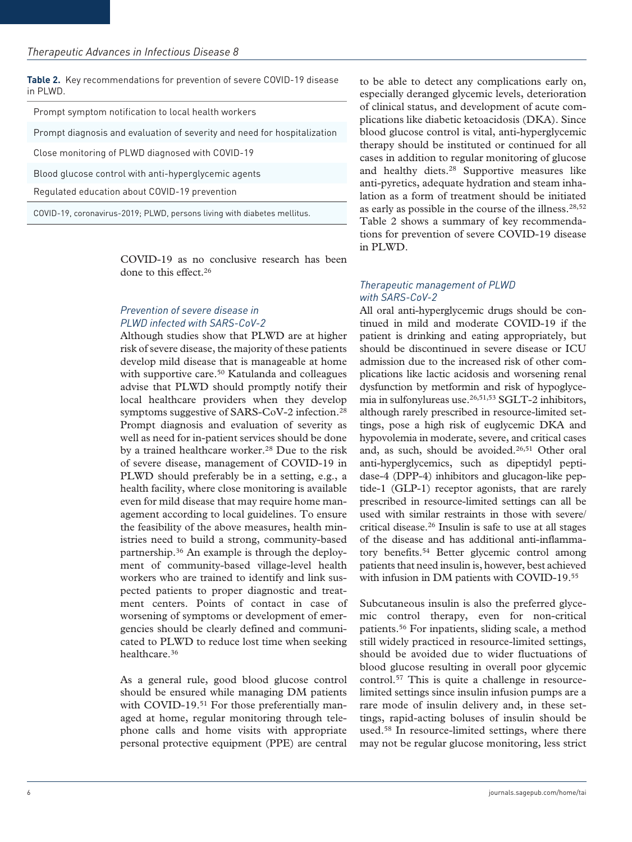**Table 2.** Key recommendations for prevention of severe COVID-19 disease in PLWD.

| Prompt symptom notification to local health workers |  |  |  |
|-----------------------------------------------------|--|--|--|
|-----------------------------------------------------|--|--|--|

Prompt diagnosis and evaluation of severity and need for hospitalization

Close monitoring of PLWD diagnosed with COVID-19

Blood glucose control with anti-hyperglycemic agents

Regulated education about COVID-19 prevention

COVID-19, coronavirus-2019; PLWD, persons living with diabetes mellitus.

COVID-19 as no conclusive research has been done to this effect.26

## *Prevention of severe disease in PLWD infected with SARS-CoV-2*

Although studies show that PLWD are at higher risk of severe disease, the majority of these patients develop mild disease that is manageable at home with supportive care.<sup>50</sup> Katulanda and colleagues advise that PLWD should promptly notify their local healthcare providers when they develop symptoms suggestive of SARS-CoV-2 infection.28 Prompt diagnosis and evaluation of severity as well as need for in-patient services should be done by a trained healthcare worker.<sup>28</sup> Due to the risk of severe disease, management of COVID-19 in PLWD should preferably be in a setting, e.g., a health facility, where close monitoring is available even for mild disease that may require home management according to local guidelines. To ensure the feasibility of the above measures, health ministries need to build a strong, community-based partnership.36 An example is through the deployment of community-based village-level health workers who are trained to identify and link suspected patients to proper diagnostic and treatment centers. Points of contact in case of worsening of symptoms or development of emergencies should be clearly defined and communicated to PLWD to reduce lost time when seeking healthcare.36

As a general rule, good blood glucose control should be ensured while managing DM patients with COVID-19.<sup>51</sup> For those preferentially managed at home, regular monitoring through telephone calls and home visits with appropriate personal protective equipment (PPE) are central to be able to detect any complications early on, especially deranged glycemic levels, deterioration of clinical status, and development of acute complications like diabetic ketoacidosis (DKA). Since blood glucose control is vital, anti-hyperglycemic therapy should be instituted or continued for all cases in addition to regular monitoring of glucose and healthy diets.28 Supportive measures like anti-pyretics, adequate hydration and steam inhalation as a form of treatment should be initiated as early as possible in the course of the illness.28,52 Table 2 shows a summary of key recommendations for prevention of severe COVID-19 disease in PLWD.

# *Therapeutic management of PLWD with SARS-CoV-2*

All oral anti-hyperglycemic drugs should be continued in mild and moderate COVID-19 if the patient is drinking and eating appropriately, but should be discontinued in severe disease or ICU admission due to the increased risk of other complications like lactic acidosis and worsening renal dysfunction by metformin and risk of hypoglycemia in sulfonylureas use.26,51,53 SGLT-2 inhibitors, although rarely prescribed in resource-limited settings, pose a high risk of euglycemic DKA and hypovolemia in moderate, severe, and critical cases and, as such, should be avoided.<sup>26,51</sup> Other oral anti-hyperglycemics, such as dipeptidyl peptidase-4 (DPP-4) inhibitors and glucagon-like peptide-1 (GLP-1) receptor agonists, that are rarely prescribed in resource-limited settings can all be used with similar restraints in those with severe/ critical disease.26 Insulin is safe to use at all stages of the disease and has additional anti-inflammatory benefits.54 Better glycemic control among patients that need insulin is, however, best achieved with infusion in DM patients with COVID-19.55

Subcutaneous insulin is also the preferred glycemic control therapy, even for non-critical patients.56 For inpatients, sliding scale, a method still widely practiced in resource-limited settings, should be avoided due to wider fluctuations of blood glucose resulting in overall poor glycemic control.57 This is quite a challenge in resourcelimited settings since insulin infusion pumps are a rare mode of insulin delivery and, in these settings, rapid-acting boluses of insulin should be used.58 In resource-limited settings, where there may not be regular glucose monitoring, less strict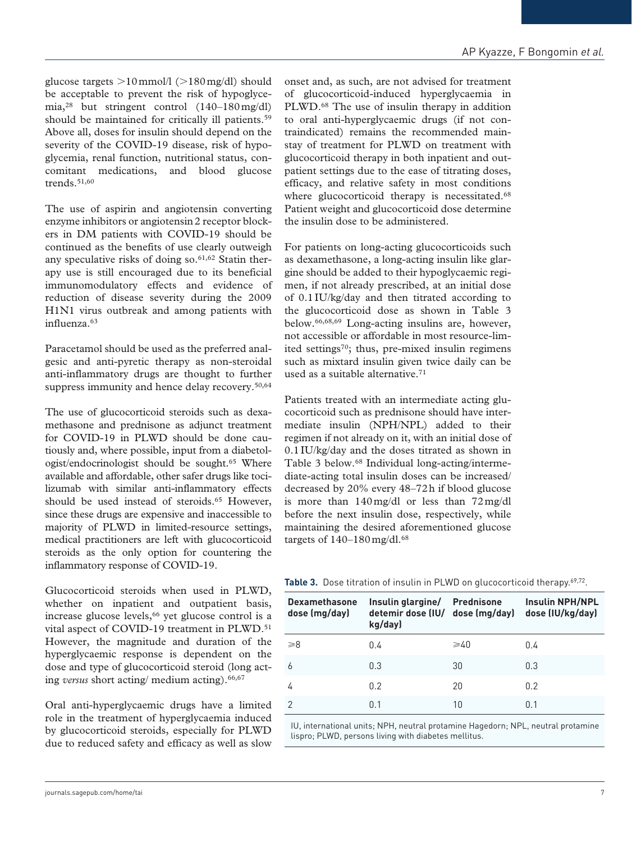glucose targets  $>10$  mmol/l ( $>180$  mg/dl) should be acceptable to prevent the risk of hypoglycemia,28 but stringent control (140–180mg/dl) should be maintained for critically ill patients.<sup>59</sup> Above all, doses for insulin should depend on the severity of the COVID-19 disease, risk of hypoglycemia, renal function, nutritional status, concomitant medications, and blood glucose trends.51,60

The use of aspirin and angiotensin converting enzyme inhibitors or angiotensin2 receptor blockers in DM patients with COVID-19 should be continued as the benefits of use clearly outweigh any speculative risks of doing so. $61,62$  Statin therapy use is still encouraged due to its beneficial immunomodulatory effects and evidence of reduction of disease severity during the 2009 H1N1 virus outbreak and among patients with influenza.63

Paracetamol should be used as the preferred analgesic and anti-pyretic therapy as non-steroidal anti-inflammatory drugs are thought to further suppress immunity and hence delay recovery.<sup>50,64</sup>

The use of glucocorticoid steroids such as dexamethasone and prednisone as adjunct treatment for COVID-19 in PLWD should be done cautiously and, where possible, input from a diabetologist/endocrinologist should be sought.65 Where available and affordable, other safer drugs like tocilizumab with similar anti-inflammatory effects should be used instead of steroids.<sup>65</sup> However, since these drugs are expensive and inaccessible to majority of PLWD in limited-resource settings, medical practitioners are left with glucocorticoid steroids as the only option for countering the inflammatory response of COVID-19.

Glucocorticoid steroids when used in PLWD, whether on inpatient and outpatient basis, increase glucose levels,<sup>66</sup> yet glucose control is a vital aspect of COVID-19 treatment in PLWD.<sup>51</sup> However, the magnitude and duration of the hyperglycaemic response is dependent on the dose and type of glucocorticoid steroid (long acting *versus* short acting/ medium acting).66,67

Oral anti-hyperglycaemic drugs have a limited role in the treatment of hyperglycaemia induced by glucocorticoid steroids, especially for PLWD due to reduced safety and efficacy as well as slow

onset and, as such, are not advised for treatment of glucocorticoid-induced hyperglycaemia in PLWD.68 The use of insulin therapy in addition to oral anti-hyperglycaemic drugs (if not contraindicated) remains the recommended mainstay of treatment for PLWD on treatment with glucocorticoid therapy in both inpatient and outpatient settings due to the ease of titrating doses, efficacy, and relative safety in most conditions where glucocorticoid therapy is necessitated.<sup>68</sup> Patient weight and glucocorticoid dose determine the insulin dose to be administered.

For patients on long-acting glucocorticoids such as dexamethasone, a long-acting insulin like glargine should be added to their hypoglycaemic regimen, if not already prescribed, at an initial dose of 0.1IU/kg/day and then titrated according to the glucocorticoid dose as shown in Table 3 below.66,68,69 Long-acting insulins are, however, not accessible or affordable in most resource-limited settings<sup>70</sup>; thus, pre-mixed insulin regimens such as mixtard insulin given twice daily can be used as a suitable alternative.<sup>71</sup>

Patients treated with an intermediate acting glucocorticoid such as prednisone should have intermediate insulin (NPH/NPL) added to their regimen if not already on it, with an initial dose of 0.1IU/kg/day and the doses titrated as shown in Table 3 below.<sup>68</sup> Individual long-acting/intermediate-acting total insulin doses can be increased/ decreased by 20% every 48–72h if blood glucose is more than 140mg/dl or less than 72mg/dl before the next insulin dose, respectively, while maintaining the desired aforementioned glucose targets of  $140-180$  mg/dl.<sup>68</sup>

|  |  |  |  |  | Table 3. Dose titration of insulin in PLWD on glucocorticoid therapy. <sup>69,72</sup> . |  |
|--|--|--|--|--|------------------------------------------------------------------------------------------|--|
|--|--|--|--|--|------------------------------------------------------------------------------------------|--|

| <b>Dexamethasone</b><br>dose (mg/day) | Insulin glargine/ Prednisone<br>detemir dose (IU/ dose (mg/day)<br>kg/day) |                | <b>Insulin NPH/NPL</b><br>dose (IU/kg/day) |
|---------------------------------------|----------------------------------------------------------------------------|----------------|--------------------------------------------|
| $\geq 8$                              | 0.4                                                                        | $\geqslant$ 40 | 0.4                                        |
| 6                                     | 0.3                                                                        | 30             | 0.3                                        |
| 4                                     | 0.2                                                                        | 20             | 0.2                                        |
| 2                                     | 0.1                                                                        | 10             | 0.1                                        |

IU, international units; NPH, neutral protamine Hagedorn; NPL, neutral protamine lispro; PLWD, persons living with diabetes mellitus.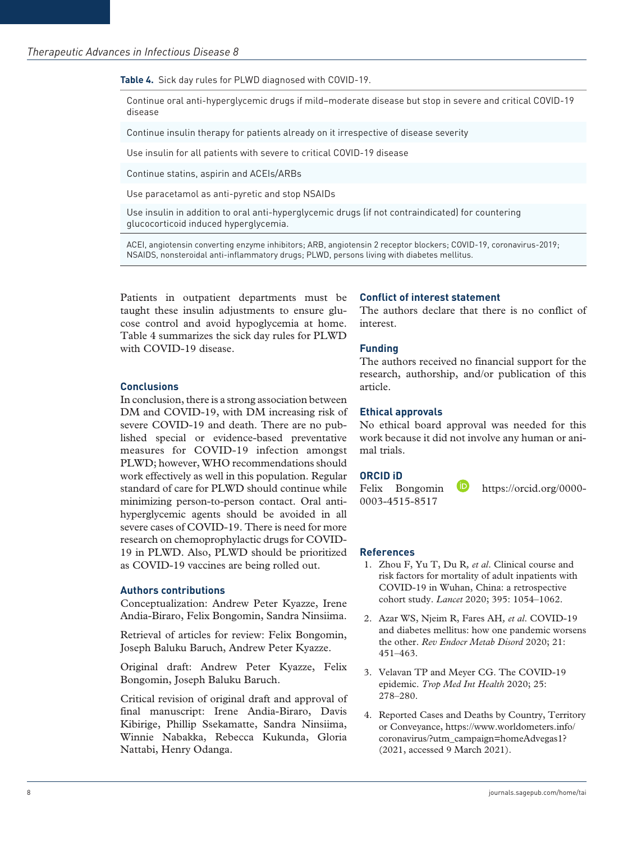**Table 4.** Sick day rules for PLWD diagnosed with COVID-19.

Continue oral anti-hyperglycemic drugs if mild–moderate disease but stop in severe and critical COVID-19 disease

Continue insulin therapy for patients already on it irrespective of disease severity

Use insulin for all patients with severe to critical COVID-19 disease

Continue statins, aspirin and ACEIs/ARBs

Use paracetamol as anti-pyretic and stop NSAIDs

Use insulin in addition to oral anti-hyperglycemic drugs (if not contraindicated) for countering glucocorticoid induced hyperglycemia.

ACEI, angiotensin converting enzyme inhibitors; ARB, angiotensin 2 receptor blockers; COVID-19, coronavirus-2019; NSAIDS, nonsteroidal anti-inflammatory drugs; PLWD, persons living with diabetes mellitus.

Patients in outpatient departments must be taught these insulin adjustments to ensure glucose control and avoid hypoglycemia at home. Table 4 summarizes the sick day rules for PLWD with COVID-19 disease.

### **Conclusions**

In conclusion, there is a strong association between DM and COVID-19, with DM increasing risk of severe COVID-19 and death. There are no published special or evidence-based preventative measures for COVID-19 infection amongst PLWD; however, WHO recommendations should work effectively as well in this population. Regular standard of care for PLWD should continue while minimizing person-to-person contact. Oral antihyperglycemic agents should be avoided in all severe cases of COVID-19. There is need for more research on chemoprophylactic drugs for COVID-19 in PLWD. Also, PLWD should be prioritized as COVID-19 vaccines are being rolled out.

### **Authors contributions**

Conceptualization: Andrew Peter Kyazze, Irene Andia-Biraro, Felix Bongomin, Sandra Ninsiima.

Retrieval of articles for review: Felix Bongomin, Joseph Baluku Baruch, Andrew Peter Kyazze.

Original draft: Andrew Peter Kyazze, Felix Bongomin, Joseph Baluku Baruch.

Critical revision of original draft and approval of final manuscript: Irene Andia-Biraro, Davis Kibirige, Phillip Ssekamatte, Sandra Ninsiima, Winnie Nabakka, Rebecca Kukunda, Gloria Nattabi, Henry Odanga.

### **Conflict of interest statement**

The authors declare that there is no conflict of interest.

### **Funding**

The authors received no financial support for the research, authorship, and/or publication of this article.

### **Ethical approvals**

No ethical board approval was needed for this work because it did not involve any human or animal trials.

### **ORCID iD**

Felix Bongomin **b** [https://orcid.org/0000-](https://orcid.org/0000-0003-4515-8517) [0003-4515-8517](https://orcid.org/0000-0003-4515-8517)

#### **References**

- 1. Zhou F, Yu T, Du R*, et al*. Clinical course and risk factors for mortality of adult inpatients with COVID-19 in Wuhan, China: a retrospective cohort study. *Lancet* 2020; 395: 1054–1062.
- 2. Azar WS, Njeim R, Fares AH*, et al*. COVID-19 and diabetes mellitus: how one pandemic worsens the other. *Rev Endocr Metab Disord* 2020; 21: 451–463.
- 3. Velavan TP and Meyer CG. The COVID-19 epidemic. *Trop Med Int Health* 2020; 25: 278–280.
- 4. Reported Cases and Deaths by Country, Territory or Conveyance, [https://www.worldometers.info/](https://www.worldometers.info/coronavirus/?utm_campaign=homeAdvegas1) [coronavirus/?utm\\_campaign=homeAdvegas1?](https://www.worldometers.info/coronavirus/?utm_campaign=homeAdvegas1) (2021, accessed 9 March 2021).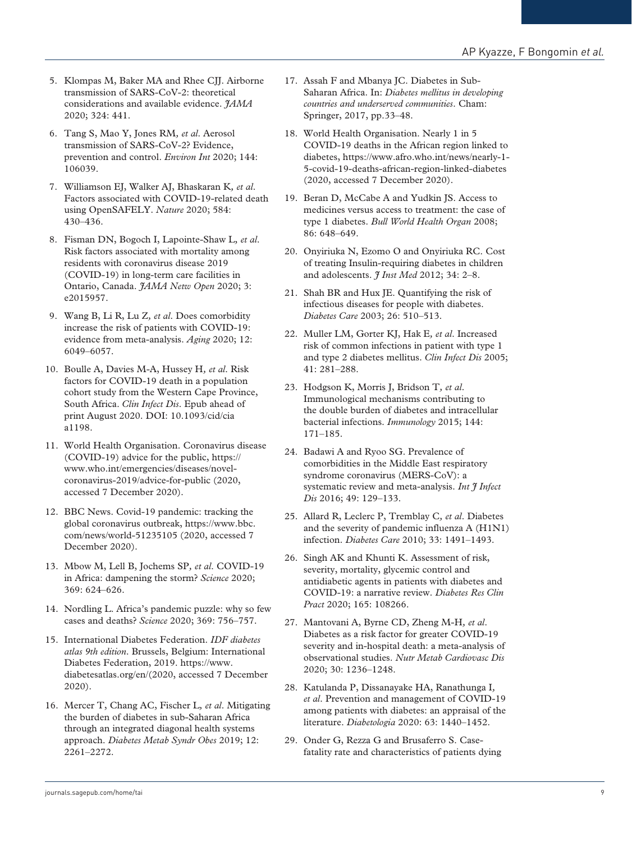- 5. Klompas M, Baker MA and Rhee CII. Airborne transmission of SARS-CoV-2: theoretical considerations and available evidence. *JAMA* 2020; 324: 441.
- 6. Tang S, Mao Y, Jones RM*, et al*. Aerosol transmission of SARS-CoV-2? Evidence, prevention and control. *Environ Int* 2020; 144: 106039.
- 7. Williamson EJ, Walker AJ, Bhaskaran K*, et al*. Factors associated with COVID-19-related death using OpenSAFELY. *Nature* 2020; 584: 430–436.
- 8. Fisman DN, Bogoch I, Lapointe-Shaw L*, et al*. Risk factors associated with mortality among residents with coronavirus disease 2019 (COVID-19) in long-term care facilities in Ontario, Canada. *JAMA Netw Open* 2020; 3: e2015957.
- 9. Wang B, Li R, Lu Z*, et al*. Does comorbidity increase the risk of patients with COVID-19: evidence from meta-analysis. *Aging* 2020; 12: 6049–6057.
- 10. Boulle A, Davies M-A, Hussey H*, et al*. Risk factors for COVID-19 death in a population cohort study from the Western Cape Province, South Africa. *Clin Infect Dis*. Epub ahead of print August 2020. DOI: 10.1093/cid/cia a1198.
- 11. World Health Organisation. Coronavirus disease (COVID-19) advice for the public, [https://](https://www.who.int/emergencies/diseases/novel-coronavirus-2019/advice-for-public) [www.who.int/emergencies/diseases/novel](https://www.who.int/emergencies/diseases/novel-coronavirus-2019/advice-for-public)[coronavirus-2019/advice-for-public](https://www.who.int/emergencies/diseases/novel-coronavirus-2019/advice-for-public) (2020, accessed 7 December 2020).
- 12. BBC News. Covid-19 pandemic: tracking the global coronavirus outbreak, [https://www.bbc.](https://www.bbc.com/news/world-51235105) [com/news/world-51235105](https://www.bbc.com/news/world-51235105) (2020, accessed 7 December 2020).
- 13. Mbow M, Lell B, Jochems SP*, et al*. COVID-19 in Africa: dampening the storm? *Science* 2020; 369: 624–626.
- 14. Nordling L. Africa's pandemic puzzle: why so few cases and deaths? *Science* 2020; 369: 756–757.
- 15. International Diabetes Federation. *IDF diabetes atlas 9th edition*. Brussels, Belgium: International Diabetes Federation, 2019. https://www. diabetesatlas.org/en/(2020, accessed 7 December 2020).
- 16. Mercer T, Chang AC, Fischer L*, et al*. Mitigating the burden of diabetes in sub-Saharan Africa through an integrated diagonal health systems approach. *Diabetes Metab Syndr Obes* 2019; 12: 2261–2272.
- 17. Assah F and Mbanya JC. Diabetes in Sub-Saharan Africa. In: *Diabetes mellitus in developing countries and underserved communities*. Cham: Springer, 2017, pp.33–48.
- 18. World Health Organisation. Nearly 1 in 5 COVID-19 deaths in the African region linked to diabetes, [https://www.afro.who.int/news/nearly-1-](https://www.afro.who.int/news/nearly-1-5-covid-19-deaths-african-region-linked-diabetes) [5-covid-19-deaths-african-region-linked-diabetes](https://www.afro.who.int/news/nearly-1-5-covid-19-deaths-african-region-linked-diabetes)  (2020, accessed 7 December 2020).
- 19. Beran D, McCabe A and Yudkin JS. Access to medicines versus access to treatment: the case of type 1 diabetes. *Bull World Health Organ* 2008; 86: 648–649.
- 20. Onyiriuka N, Ezomo O and Onyiriuka RC. Cost of treating Insulin-requiring diabetes in children and adolescents. *J Inst Med* 2012; 34: 2–8.
- 21. Shah BR and Hux JE. Quantifying the risk of infectious diseases for people with diabetes. *Diabetes Care* 2003; 26: 510–513.
- 22. Muller LM, Gorter KJ, Hak E*, et al*. Increased risk of common infections in patient with type 1 and type 2 diabetes mellitus. *Clin Infect Dis* 2005; 41: 281–288.
- 23. Hodgson K, Morris J, Bridson T*, et al*. Immunological mechanisms contributing to the double burden of diabetes and intracellular bacterial infections. *Immunology* 2015; 144: 171–185.
- 24. Badawi A and Ryoo SG. Prevalence of comorbidities in the Middle East respiratory syndrome coronavirus (MERS-CoV): a systematic review and meta-analysis. *Int J Infect Dis* 2016; 49: 129–133.
- 25. Allard R, Leclerc P, Tremblay C*, et al*. Diabetes and the severity of pandemic influenza A (H1N1) infection. *Diabetes Care* 2010; 33: 1491–1493.
- 26. Singh AK and Khunti K. Assessment of risk, severity, mortality, glycemic control and antidiabetic agents in patients with diabetes and COVID-19: a narrative review. *Diabetes Res Clin Pract* 2020; 165: 108266.
- 27. Mantovani A, Byrne CD, Zheng M-H*, et al*. Diabetes as a risk factor for greater COVID-19 severity and in-hospital death: a meta-analysis of observational studies. *Nutr Metab Cardiovasc Dis* 2020; 30: 1236–1248.
- 28. Katulanda P, Dissanayake HA, Ranathunga I*, et al*. Prevention and management of COVID-19 among patients with diabetes: an appraisal of the literature. *Diabetologia* 2020: 63: 1440–1452.
- 29. Onder G, Rezza G and Brusaferro S. Casefatality rate and characteristics of patients dying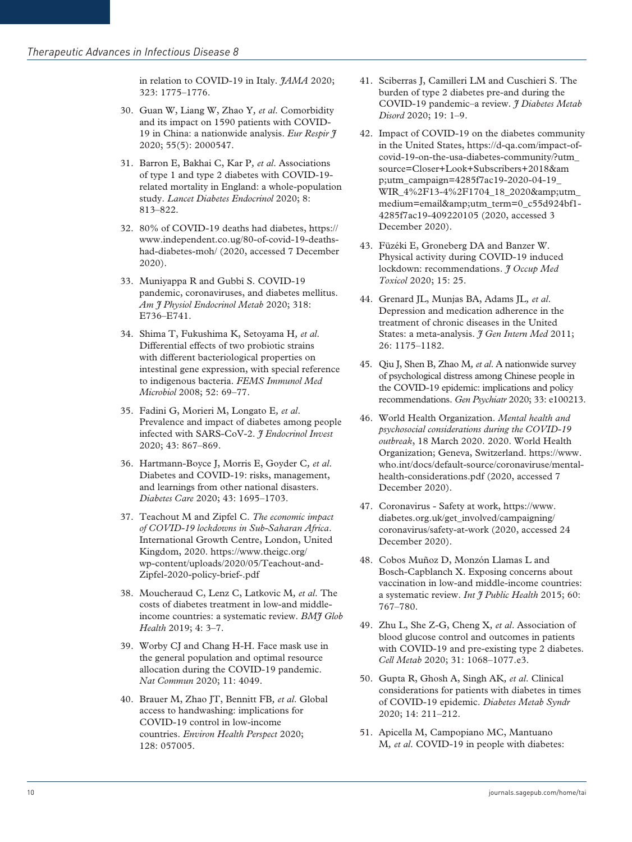in relation to COVID-19 in Italy. *HAMA* 2020; 323: 1775–1776.

- 30. Guan W, Liang W, Zhao Y*, et al*. Comorbidity and its impact on 1590 patients with COVID-19 in China: a nationwide analysis. *Eur Respir J* 2020; 55(5): 2000547.
- 31. Barron E, Bakhai C, Kar P*, et al*. Associations of type 1 and type 2 diabetes with COVID-19 related mortality in England: a whole-population study. *Lancet Diabetes Endocrinol* 2020; 8: 813–822.
- 32. 80% of COVID-19 deaths had diabetes, [https://](https://www.independent.co.ug/80-of-covid-19-deaths-had-diabetes-moh/) [www.independent.co.ug/80-of-covid-19-deaths](https://www.independent.co.ug/80-of-covid-19-deaths-had-diabetes-moh/)[had-diabetes-moh/](https://www.independent.co.ug/80-of-covid-19-deaths-had-diabetes-moh/) (2020, accessed 7 December 2020).
- 33. Muniyappa R and Gubbi S. COVID-19 pandemic, coronaviruses, and diabetes mellitus. *Am J Physiol Endocrinol Metab* 2020; 318: E736–E741.
- 34. Shima T, Fukushima K, Setoyama H*, et al*. Differential effects of two probiotic strains with different bacteriological properties on intestinal gene expression, with special reference to indigenous bacteria. *FEMS Immunol Med Microbiol* 2008; 52: 69–77.
- 35. Fadini G, Morieri M, Longato E*, et al*. Prevalence and impact of diabetes among people infected with SARS-CoV-2. *J Endocrinol Invest* 2020; 43: 867–869.
- 36. Hartmann-Boyce J, Morris E, Goyder C*, et al*. Diabetes and COVID-19: risks, management, and learnings from other national disasters. *Diabetes Care* 2020; 43: 1695–1703.
- 37. Teachout M and Zipfel C. *The economic impact of COVID-19 lockdowns in Sub-Saharan Africa*. International Growth Centre, London, United Kingdom, 2020. https://www.theigc.org/ wp-content/uploads/2020/05/Teachout-and-Zipfel-2020-policy-brief-.pdf
- 38. Moucheraud C, Lenz C, Latkovic M*, et al*. The costs of diabetes treatment in low-and middleincome countries: a systematic review. *BMJ Glob Health* 2019; 4: 3–7.
- 39. Worby CJ and Chang H-H. Face mask use in the general population and optimal resource allocation during the COVID-19 pandemic. *Nat Commun* 2020; 11: 4049.
- 40. Brauer M, Zhao JT, Bennitt FB*, et al*. Global access to handwashing: implications for COVID-19 control in low-income countries. *Environ Health Perspect* 2020; 128: 057005.
- 41. Sciberras J, Camilleri LM and Cuschieri S. The burden of type 2 diabetes pre-and during the COVID-19 pandemic–a review. *J Diabetes Metab Disord* 2020; 19: 1–9.
- 42. Impact of COVID-19 on the diabetes community in the United States, [https://d-qa.com/impact-of](https://d-qa.com/impact-of-covid-19-on-the-usa-diabetes-community/?utm_source=Closer+Look+Subscribers+2018&utm_campaign=4285f7ac19-2020-04-19_WIR_4%2F13-4%2F1704_18_2020&utm_medium=email&utm_term=0_c55d924bf1-4285f7ac19-409220105)[covid-19-on-the-usa-diabetes-community/?utm\\_](https://d-qa.com/impact-of-covid-19-on-the-usa-diabetes-community/?utm_source=Closer+Look+Subscribers+2018&utm_campaign=4285f7ac19-2020-04-19_WIR_4%2F13-4%2F1704_18_2020&utm_medium=email&utm_term=0_c55d924bf1-4285f7ac19-409220105) [source=Closer+Look+Subscribers+2018&am](https://d-qa.com/impact-of-covid-19-on-the-usa-diabetes-community/?utm_source=Closer+Look+Subscribers+2018&utm_campaign=4285f7ac19-2020-04-19_WIR_4%2F13-4%2F1704_18_2020&utm_medium=email&utm_term=0_c55d924bf1-4285f7ac19-409220105) [p;utm\\_campaign=4285f7ac19-2020-04-19\\_](https://d-qa.com/impact-of-covid-19-on-the-usa-diabetes-community/?utm_source=Closer+Look+Subscribers+2018&utm_campaign=4285f7ac19-2020-04-19_WIR_4%2F13-4%2F1704_18_2020&utm_medium=email&utm_term=0_c55d924bf1-4285f7ac19-409220105) [WIR\\_4%2F13-4%2F1704\\_18\\_2020&utm\\_](https://d-qa.com/impact-of-covid-19-on-the-usa-diabetes-community/?utm_source=Closer+Look+Subscribers+2018&utm_campaign=4285f7ac19-2020-04-19_WIR_4%2F13-4%2F1704_18_2020&utm_medium=email&utm_term=0_c55d924bf1-4285f7ac19-409220105) [medium=email&utm\\_term=0\\_c55d924bf1-](https://d-qa.com/impact-of-covid-19-on-the-usa-diabetes-community/?utm_source=Closer+Look+Subscribers+2018&utm_campaign=4285f7ac19-2020-04-19_WIR_4%2F13-4%2F1704_18_2020&utm_medium=email&utm_term=0_c55d924bf1-4285f7ac19-409220105) [4285f7ac19-409220105](https://d-qa.com/impact-of-covid-19-on-the-usa-diabetes-community/?utm_source=Closer+Look+Subscribers+2018&utm_campaign=4285f7ac19-2020-04-19_WIR_4%2F13-4%2F1704_18_2020&utm_medium=email&utm_term=0_c55d924bf1-4285f7ac19-409220105) (2020, accessed 3 December 2020).
- 43. Füzéki E, Groneberg DA and Banzer W. Physical activity during COVID-19 induced lockdown: recommendations. *J Occup Med Toxicol* 2020; 15: 25.
- 44. Grenard JL, Munjas BA, Adams JL*, et al*. Depression and medication adherence in the treatment of chronic diseases in the United States: a meta-analysis. *J Gen Intern Med* 2011; 26: 1175–1182.
- 45. Qiu J, Shen B, Zhao M*, et al*. A nationwide survey of psychological distress among Chinese people in the COVID-19 epidemic: implications and policy recommendations. *Gen Psychiatr* 2020; 33: e100213.
- 46. World Health Organization. *Mental health and psychosocial considerations during the COVID-19 outbreak*, 18 March 2020. 2020. World Health Organization; Geneva, Switzerland. https://www. who.int/docs/default-source/coronaviruse/mentalhealth-considerations.pdf (2020, accessed 7 December 2020).
- 47. Coronavirus Safety at work, [https://www.](https://www.diabetes.org.uk/get_involved/campaigning/coronavirus/safety-at-work) [diabetes.org.uk/get\\_involved/campaigning/](https://www.diabetes.org.uk/get_involved/campaigning/coronavirus/safety-at-work) [coronavirus/safety-at-work](https://www.diabetes.org.uk/get_involved/campaigning/coronavirus/safety-at-work) (2020, accessed 24 December 2020).
- 48. Cobos Muñoz D, Monzón Llamas L and Bosch-Capblanch X. Exposing concerns about vaccination in low-and middle-income countries: a systematic review. *Int J Public Health* 2015; 60: 767–780.
- 49. Zhu L, She Z-G, Cheng X*, et al*. Association of blood glucose control and outcomes in patients with COVID-19 and pre-existing type 2 diabetes. *Cell Metab* 2020; 31: 1068–1077.e3.
- 50. Gupta R, Ghosh A, Singh AK*, et al*. Clinical considerations for patients with diabetes in times of COVID-19 epidemic. *Diabetes Metab Syndr* 2020; 14: 211–212.
- 51. Apicella M, Campopiano MC, Mantuano M*, et al*. COVID-19 in people with diabetes: